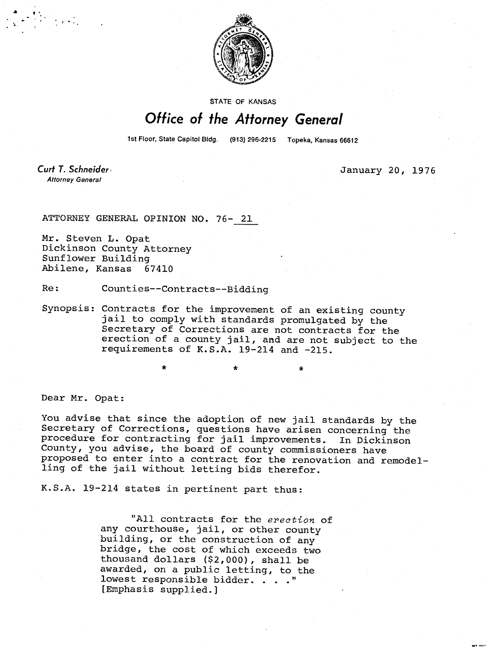

**STATE OF KANSAS** 

## Office of the Attorney General

1st Floor, State Capitol Bidg. (913) 296-2215 Topeka, Kansas 66612

Curt T. Schneider **Attorney General** 

January 20, 1976

ATTORNEY GENERAL OPINION NO. 76- 21

Mr. Steven L. Opat Dickinson County Attorney Sunflower Building Abilene, Kansas 67410

Re: Counties--Contracts--Bidding

Synopsis: Contracts for the improvement of an existing county jail to comply with standards promulgated by the Secretary of Corrections are not contracts for the erection of a county jail, and are not subject to the requirements of K.S.A. 19-214 and -215.

\*

Dear Mr. Opat:

You advise that since the adoption of new jail standards by the Secretary of Corrections, questions have arisen concerning the procedure for contracting for jail improvements. In Dickinson County, you advise, the board of county commissioners have proposed to enter into a contract for the renovation and remodelling of the jail without letting bids therefor.

K.S.A. 19-214 states in pertinent part thus:

"All contracts for the erection of any courthouse, jail, or other county building, or the construction of any bridge, the cost of which exceeds two thousand dollars (\$2,000), shall be awarded, on a public letting, to the lowest responsible bidder. . . ." [Emphasis supplied.]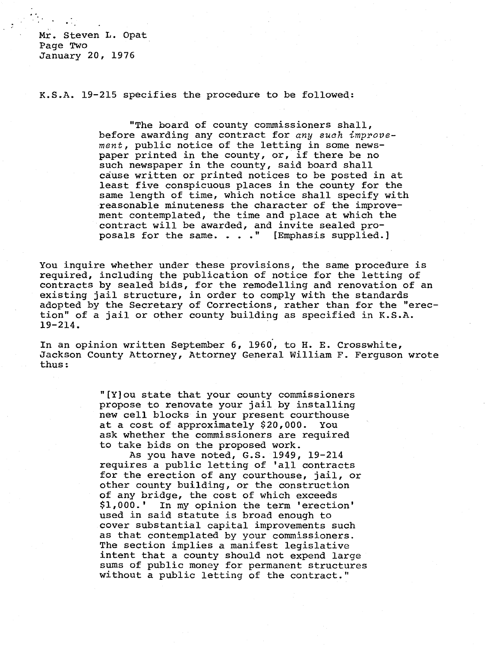Mr. Steven L. Opat Page Two January 20, 1976

K.S.A. 19-215 specifies the procedure to be followed:

"The board of county commissioners shall, before awarding any contract for any such improvement, public notice of the letting in some newspaper printed in the county, or, if there be no such newspaper in the county, said board shall cause written or printed notices to be posted in at least five conspicuous places in the county for the same length of time, which notice shall specify with reasonable minuteness the character of the improvement contemplated, the time and place at which the contract will be awarded, and invite sealed proposals for the same. . . . " [Emphasis supplied.]

You inquire whether under these provisions, the same procedure is required, including the publication of notice for the letting of contracts by sealed bids, for the remodelling and renovation of an existing jail structure, in order to comply with the standards adopted by the Secretary of Corrections, rather than for the "erection" of a jail or other county building as specified in K.S.A. 19-214.

In an opinion written September 6, 1960, to H. E. Crosswhite, Jackson County Attorney, Attorney General William F. Ferguson wrote thus:

> "[Y]ou state that your county commissioners propose to renovate your jail by installing new cell blocks in your present courthouse at a cost of approximately \$20,000. You ask whether the commissioners are required to take bids on the proposed work.

As you have noted, G.S. 1949, 19-214 requires a public letting of 'all contracts for the erection of any courthouse, jail, or other county building, or the construction of any bridge, the cost of which exceeds \$1,000.' In my opinion the term 'erection' used in said statute is broad enough to cover substantial capital improvements such as that contemplated by your commissioners. The section implies a manifest legislative intent that a county should not expend large sums of public money for permanent structures without a public letting of the contract."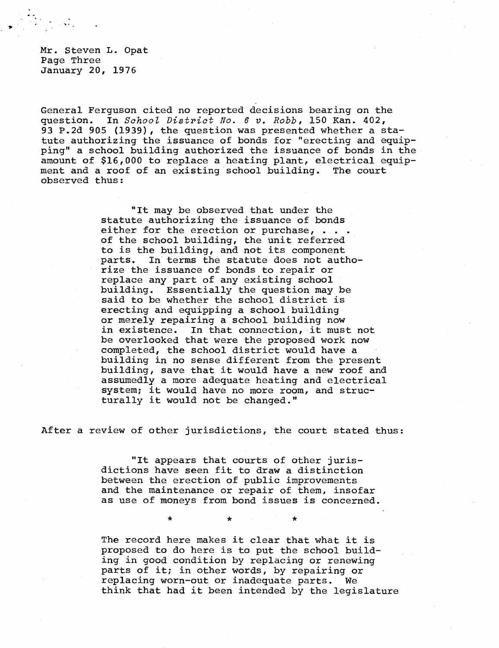Mr. Steven L. Opat Page Three January 20, 1976

General Ferguson cited no reported decisions bearing on the question. In School District No. 6 v. Robb, 150 Kan. 402, 93 P.2d 905 (1939), the question was presented whether a statute authorizing the issuance of bonds for "erecting and equipping" a school building authorized the issuance of bonds in the amount of \$16,000 to replace a heating plant, electrical equipment and a roof of an existing school building. The court observed thus:

> "It may be observed that under the statute authorizing the issuance of bonds either for the erection or purchase, . . . of the school building, the unit referred to is the building, and not its component parts. In terms the statute does not authorize the issuance of bonds to repair or replace any part of any existing school building. Essentially the question may be said to be whether the school district is erecting and equipping a school building or merely repairing a school building now in existence. In that connection, it must not be overlooked that were the proposed work now completed, the school district would have a building in no sense different from the present building, save that it would have a new roof and assumedly a more adequate heating and electrical system; it would have no more room, and structurally it would not be changed."

After a review of other jurisdictions, the court stated thus:

\*

"It appears that courts of other jurisdictions have seen fit to draw a distinction between the erection of public improvements and the maintenance or repair of them, insofar as use of moneys from bond issues is concerned.

The record here makes it clear that what it is proposed to do here is to put the school building in good condition by replacing or renewing parts of it; in other words, by repairing or replacing worn-out or inadequate parts. We think that had it been intended by the legislature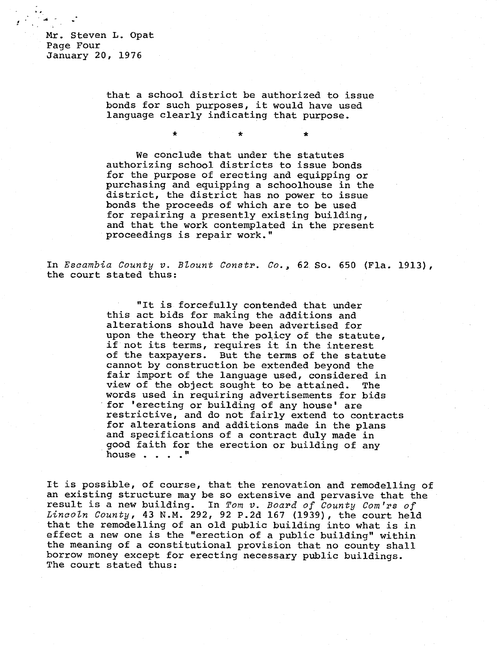Mr. Steven L. Opat Page Four January 20, 1976

> that a school district be authorized to issue bonds for such purposes, it would have used language clearly indicating that purpose.

> We conclude that under the statutes authorizing school districts to issue bonds for the purpose of erecting and equipping or purchasing and equipping a schoolhouse in the district, the district has no power to issue bonds the proceeds of which are to be used for repairing a presently existing building, and that the work contemplated in the present proceedings is repair work."

In Escambia County v. Blount Constr. Co., 62 So. 650 (Fla. 1913), the court stated thus:

> "It is forcefully contended that under this act bids for making the additions and alterations should have been advertised for upon the theory that the policy of the statute, if not its terms, requires it in the interest of the taxpayers. But the terms of the statute cannot by construction be extended beyond the fair import of the language used, considered in view of the object sought to be attained. The words used in requiring advertisements for bids for 'erecting or building of any house' are restrictive, and do not fairly extend to contracts for alterations and additions made in the plans and specifications of a contract duly made in good faith for the erection or building of any house . . . . "

It is possible, of course, that the renovation and remodelling of an existing structure may be so extensive and pervasive that the result is a new building. In Tom v. Board of County Com'rs of Lincoln County, 43 N.M. 292, 92 P.2d 167 (1939), the court held that the remodelling of an old public building into what is in effect a new one is the "erection of a public building" within the meaning of a constitutional provision that no county shall borrow money except for erecting necessary public buildings. The court stated thus: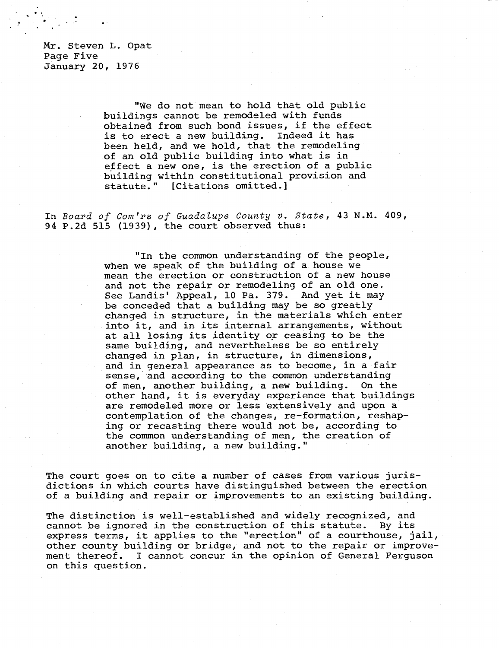Mr. Steven L. Opat Page Five January 20, 1976

> "We do not mean to hold that old public buildings cannot be remodeled with funds obtained from such bond issues, if the effect is to erect a new building. Indeed it has been held, and we hold, that the remodeling of an old public building into what is in effect a new one, is the erection of a public building within constitutional provision and statute." [Citations omitted.]

In Board of Com'rs of Guadalupe County v. State, 43 N.M. 409, 94 P.2d 515 (1939), the court observed thus:

> "In the common understanding of the people, when we speak of the building of a house we mean the erection or construction of a new house and not the repair or remodeling of an old one. See Landis' Appeal, 10 Pa. 379. And yet it may be conceded that a building may be so greatly changed in structure, in the materials which enter into it, and in its internal arrangements, without at all losing its identity or ceasing to be the same building, and nevertheless be so entirely changed in plan, in structure, in dimensions, and in general appearance as to become, in a fair sense, and according to the common understanding of men, another building, a new building. On the other hand, it is everyday experience that buildings are remodeled more or less extensively and upon a contemplation of the changes, re-formation, reshaping or recasting there would not be, according to the common understanding of men, the creation of another building, a new building."

The court goes on to cite a number of cases from various jurisdictions in which courts have distinguished between the erection of a building and repair or improvements to an existing building.

The distinction is well-established and widely recognized, and cannot be ignored in the construction of this statute. By its express terms, it applies to the "erection" of a courthouse, jail, other county building or bridge, and not to the repair or improvement thereof. I cannot concur in the opinion of General Ferguson on this question.